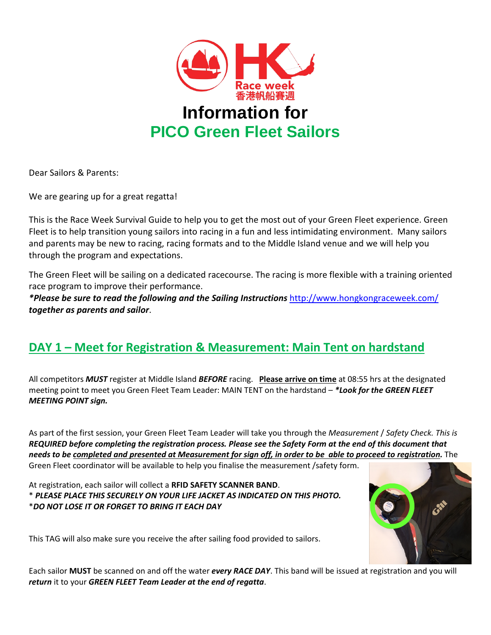

Dear Sailors & Parents:

We are gearing up for a great regatta!

This is the Race Week Survival Guide to help you to get the most out of your Green Fleet experience. Green Fleet is to help transition young sailors into racing in a fun and less intimidating environment. Many sailors and parents may be new to racing, racing formats and to the Middle Island venue and we will help you through the program and expectations.

The Green Fleet will be sailing on a dedicated racecourse. The racing is more flexible with a training oriented race program to improve their performance.

*\*Please be sure to read the following and the Sailing Instructions* [http://www.hongkongraceweek.com/](http://www.hongkongraceweek.com/nor-n-si) *together as parents and sailor*.

# **DAY 1 – Meet for Registration & Measurement: Main Tent on hardstand**

All competitors *MUST* register at Middle Island *BEFORE* racing. **Please arrive on time** at 08:55 hrs at the designated meeting point to meet you Green Fleet Team Leader: MAIN TENT on the hardstand – *\*Look for the GREEN FLEET MEETING POINT sign.*

As part of the first session, your Green Fleet Team Leader will take you through the *Measurement* / *Safety Check. This is REQUIRED before completing the registration process. Please see the Safety Form at the end of this document that needs to be completed and presented at Measurement for sign off, in order to be able to proceed to registration.* The Green Fleet coordinator will be available to help you finalise the measurement /safety form.

At registration, each sailor will collect a **RFID SAFETY SCANNER BAND**. \* *PLEASE PLACE THIS SECURELY ON YOUR LIFE JACKET AS INDICATED ON THIS PHOTO.* \**DO NOT LOSE IT OR FORGET TO BRING IT EACH DAY*



This TAG will also make sure you receive the after sailing food provided to sailors.

Each sailor **MUST** be scanned on and off the water *every RACE DAY*. This band will be issued at registration and you will *return* it to your *GREEN FLEET Team Leader at the end of regatta*.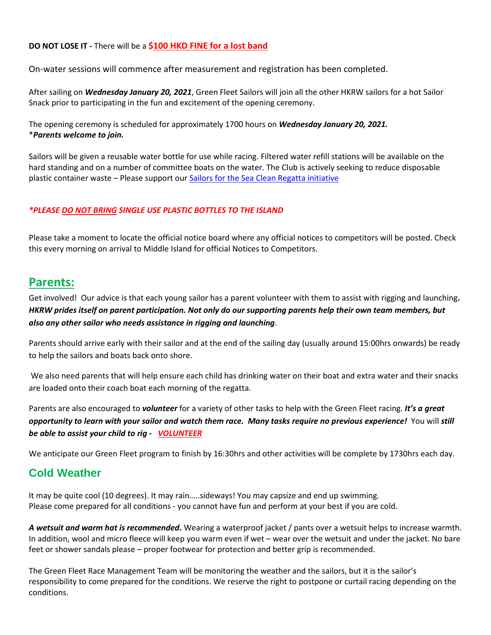#### **DO NOT LOSE IT -** There will be a **\$100 HKD FINE for a lost band**

On-water sessions will commence after measurement and registration has been completed.

After sailing on *Wednesday January 20, 2021*, Green Fleet Sailors will join all the other HKRW sailors for a hot Sailor Snack prior to participating in the fun and excitement of the opening ceremony.

The opening ceremony is scheduled for approximately 1700 hours on *Wednesday January 20, 2021.* \**Parents welcome to join.*

Sailors will be given a reusable water bottle for use while racing. Filtered water refill stations will be available on the hard standing and on a number of committee boats on the water. The Club is actively seeking to reduce disposable plastic container waste - Please support our [Sailors for the Sea Clean Regatta initiative](https://www.sailorsforthesea.org/get-involved/spread-word)

#### *\*PLEASE DO NOT BRING SINGLE USE PLASTIC BOTTLES TO THE ISLAND*

Please take a moment to locate the official notice board where any official notices to competitors will be posted. Check this every morning on arrival to Middle Island for official Notices to Competitors.

## **Parents:**

Get involved! Our advice is that each young sailor has a parent volunteer with them to assist with rigging and launching**.**  *HKRW prides itself on parent participation. Not only do our supporting parents help their own team members, but also any other sailor who needs assistance in rigging and launching*.

Parents should arrive early with their sailor and at the end of the sailing day (usually around 15:00hrs onwards) be ready to help the sailors and boats back onto shore.

We also need parents that will help ensure each child has drinking water on their boat and extra water and their snacks are loaded onto their coach boat each morning of the regatta.

Parents are also encouraged to *volunteer* for a variety of other tasks to help with the Green Fleet racing. *It's a great opportunity to learn with your sailor and watch them race. Many tasks require no previous experience!* You will *still be able to assist your child to rig - [VOLUNTEER](https://www.rhkyc.org.hk/events/HKRWVolunteer2021.aspx)*

We anticipate our Green Fleet program to finish by 16:30hrs and other activities will be complete by 1730hrs each day.

## **Cold Weather**

It may be quite cool (10 degrees). It may rain…..sideways! You may capsize and end up swimming. Please come prepared for all conditions - you cannot have fun and perform at your best if you are cold.

*A wetsuit and warm hat is recommended***.** Wearing a waterproof jacket / pants over a wetsuit helps to increase warmth. In addition, wool and micro fleece will keep you warm even if wet – wear over the wetsuit and under the jacket. No bare feet or shower sandals please – proper footwear for protection and better grip is recommended.

The Green Fleet Race Management Team will be monitoring the weather and the sailors, but it is the sailor's responsibility to come prepared for the conditions. We reserve the right to postpone or curtail racing depending on the conditions.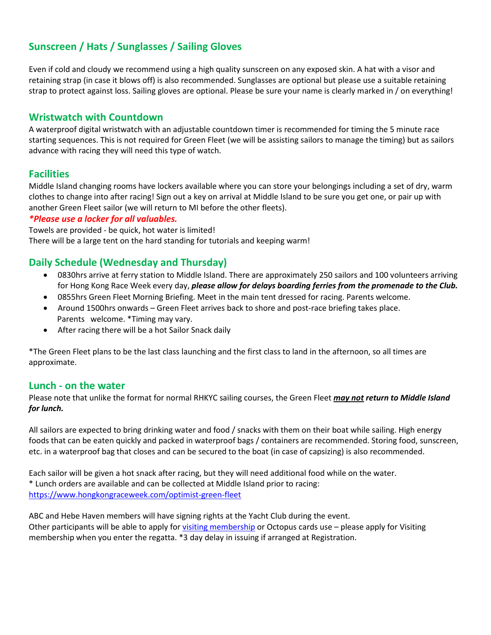## **Sunscreen / Hats / Sunglasses / Sailing Gloves**

Even if cold and cloudy we recommend using a high quality sunscreen on any exposed skin. A hat with a visor and retaining strap (in case it blows off) is also recommended. Sunglasses are optional but please use a suitable retaining strap to protect against loss. Sailing gloves are optional. Please be sure your name is clearly marked in / on everything!

### **Wristwatch with Countdown**

A waterproof digital wristwatch with an adjustable countdown timer is recommended for timing the 5 minute race starting sequences. This is not required for Green Fleet (we will be assisting sailors to manage the timing) but as sailors advance with racing they will need this type of watch.

### **Facilities**

Middle Island changing rooms have lockers available where you can store your belongings including a set of dry, warm clothes to change into after racing! Sign out a key on arrival at Middle Island to be sure you get one, or pair up with another Green Fleet sailor (we will return to MI before the other fleets).

### *\*Please use a locker for all valuables.*

Towels are provided - be quick, hot water is limited! There will be a large tent on the hard standing for tutorials and keeping warm!

## **Daily Schedule (Wednesday and Thursday)**

- 0830hrs arrive at ferry station to Middle Island. There are approximately 250 sailors and 100 volunteers arriving for Hong Kong Race Week every day, *please allow for delays boarding ferries from the promenade to the Club.*
- 0855hrs Green Fleet Morning Briefing. Meet in the main tent dressed for racing. Parents welcome.
- Around 1500hrs onwards Green Fleet arrives back to shore and post-race briefing takes place. Parents welcome. \*Timing may vary.
- After racing there will be a hot Sailor Snack daily

\*The Green Fleet plans to be the last class launching and the first class to land in the afternoon, so all times are approximate.

### **Lunch - on the water**

Please note that unlike the format for normal RHKYC sailing courses, the Green Fleet *may not return to Middle Island for lunch.* 

All sailors are expected to bring drinking water and food / snacks with them on their boat while sailing. High energy foods that can be eaten quickly and packed in waterproof bags / containers are recommended. Storing food, sunscreen, etc. in a waterproof bag that closes and can be secured to the boat (in case of capsizing) is also recommended.

Each sailor will be given a hot snack after racing, but they will need additional food while on the water. \* Lunch orders are available and can be collected at Middle Island prior to racing: <https://www.hongkongraceweek.com/optimist-green-fleet>

ABC and Hebe Haven members will have signing rights at the Yacht Club during the event. Other participants will be able to apply fo[r visiting membership](https://www.hongkongraceweek.com/visiting-membership) or Octopus cards use – please apply for Visiting membership when you enter the regatta. \*3 day delay in issuing if arranged at Registration.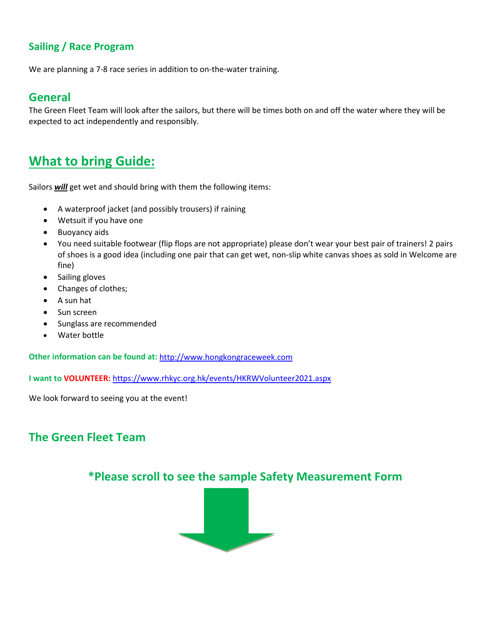## **Sailing / Race Program**

We are planning a 7-8 race series in addition to on-the-water training.

## **General**

The Green Fleet Team will look after the sailors, but there will be times both on and off the water where they will be expected to act independently and responsibly.

# **What to bring Guide:**

Sailors *will* get wet and should bring with them the following items:

- A waterproof jacket (and possibly trousers) if raining
- Wetsuit if you have one
- Buoyancy aids
- You need suitable footwear (flip flops are not appropriate) please don't wear your best pair of trainers! 2 pairs of shoes is a good idea (including one pair that can get wet, non-slip white canvas shoes as sold in Welcome are fine)
- Sailing gloves
- Changes of clothes;
- A sun hat
- Sun screen
- Sunglass are recommended
- Water bottle

**Other information can be found at:** [http://www.hongkongraceweek.com](http://www.hongkongraceweek.com/)

**I want to VOLUNTEER:** <https://www.rhkyc.org.hk/events/HKRWVolunteer2021.aspx>

We look forward to seeing you at the event!

# **The Green Fleet Team**

## **\*Please scroll to see the sample Safety Measurement Form**